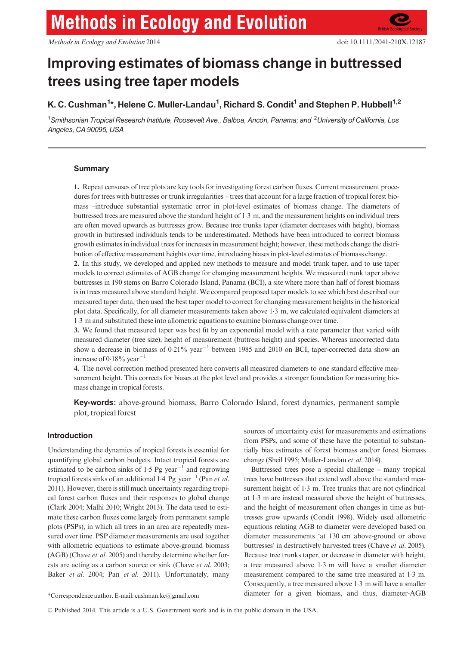# **Methods in Ecology and Evolution**

Methods in Ecology and Evolution 2014 doi: 10.1111/2041-210X.12187

## Improving estimates of biomass change in buttressed trees using tree taper models

K. C. Cushman<sup>1</sup>\*, Helene C. Muller-Landau<sup>1</sup>, Richard S. Condit<sup>1</sup> and Stephen P. Hubbell<sup>1,2</sup>

 $^1$ Smithsonian Tropical Research Institute, Roosevelt Ave., Balboa, Ancón, Panama; and  $^2$ University of California, Los Angeles, CA 90095, USA

## **Summary**

1. Repeat censuses of tree plots are key tools for investigating forest carbon fluxes. Current measurement procedures for trees with buttresses or trunk irregularities – trees that account for a large fraction of tropical forest biomass –introduce substantial systematic error in plot-level estimates of biomass change. The diameters of buttressed trees are measured above the standard height of 13 m, and the measurement heights on individual trees are often moved upwards as buttresses grow. Because tree trunks taper (diameter decreases with height), biomass growth in buttressed individuals tends to be underestimated. Methods have been introduced to correct biomass growth estimates in individual trees for increases in measurement height; however, these methods change the distribution of effective measurement heights over time, introducing biases in plot-level estimates of biomass change.

2. In this study, we developed and applied new methods to measure and model trunk taper, and to use taper models to correct estimates of AGB change for changing measurement heights. We measured trunk taper above buttresses in 190 stems on Barro Colorado Island, Panama (BCI), a site where more than half of forest biomass is in trees measured above standard height. We compared proposed taper models to see which best described our measured taper data, then used the best taper model to correct for changing measurement heights in the historical plot data. Specifically, for all diameter measurements taken above 13 m, we calculated equivalent diameters at 13 m and substituted these into allometric equations to examine biomass change over time.

3. We found that measured taper was best fit by an exponential model with a rate parameter that varied with measured diameter (tree size), height of measurement (buttress height) and species. Whereas uncorrected data show a decrease in biomass of  $0.21\%$  year<sup>-1</sup> between 1985 and 2010 on BCI, taper-corrected data show an increase of  $0.18\%$  year<sup>-1</sup>.

4. The novel correction method presented here converts all measured diameters to one standard effective measurement height. This corrects for biases at the plot level and provides a stronger foundation for measuring biomass change in tropical forests.

Key-words: above-ground biomass, Barro Colorado Island, forest dynamics, permanent sample plot, tropical forest

## Introduction

Understanding the dynamics of tropical forests is essential for quantifying global carbon budgets. Intact tropical forests are estimated to be carbon sinks of 1.5 Pg year<sup>-1</sup> and regrowing tropical forests sinks of an additional 1.4 Pg year<sup>-1</sup> (Pan *et al.*) 2011). However, there is still much uncertainty regarding tropical forest carbon fluxes and their responses to global change (Clark 2004; Malhi 2010; Wright 2013). The data used to estimate these carbon fluxes come largely from permanent sample plots (PSPs), in which all trees in an area are repeatedly measured over time. PSP diameter measurements are used together with allometric equations to estimate above-ground biomass (AGB) (Chave et al. 2005) and thereby determine whether forests are acting as a carbon source or sink (Chave et al. 2003; Baker et al. 2004; Pan et al. 2011). Unfortunately, many

sources of uncertainty exist for measurements and estimations from PSPs, and some of these have the potential to substantially bias estimates of forest biomass and/or forest biomass change (Sheil 1995; Muller-Landau et al. 2014).

Buttressed trees pose a special challenge – many tropical trees have buttresses that extend well above the standard measurement height of 1.3 m. Tree trunks that are not cylindrical at 13 m are instead measured above the height of buttresses, and the height of measurement often changes in time as buttresses grow upwards (Condit 1998). Widely used allometric equations relating AGB to diameter were developed based on diameter measurements 'at 130 cm above-ground or above buttresses' in destructively harvested trees (Chave et al. 2005). Because tree trunks taper, or decrease in diameter with height, a tree measured above 13 m will have a smaller diameter measurement compared to the same tree measured at 13 m. Consequently, a tree measured above 13 m will have a smaller \*Correspondence author. E-mail: cushman.kc@gmail.com diameter for a given biomass, and thus, diameter-AGB

<sup>©</sup> Published 2014. This article is a U.S. Government work and is in the public domain in the USA.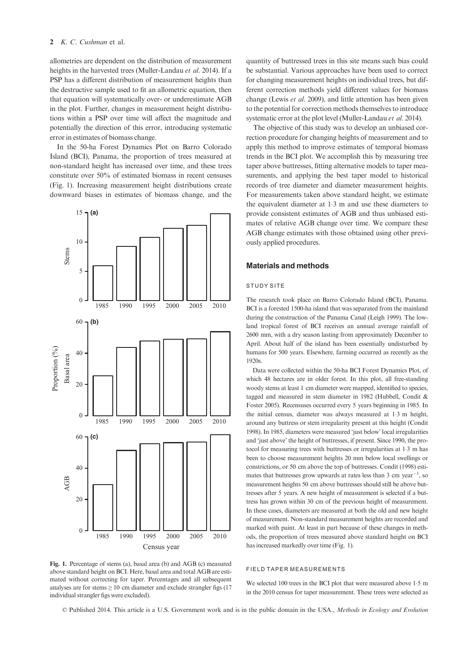allometries are dependent on the distribution of measurement heights in the harvested trees (Muller-Landau et al. 2014). If a PSP has a different distribution of measurement heights than the destructive sample used to fit an allometric equation, then that equation will systematically over- or underestimate AGB in the plot. Further, changes in measurement height distributions within a PSP over time will affect the magnitude and potentially the direction of this error, introducing systematic error in estimates of biomass change.

In the 50-ha Forest Dynamics Plot on Barro Colorado Island (BCI), Panama, the proportion of trees measured at non-standard height has increased over time, and these trees constitute over 50% of estimated biomass in recent censuses (Fig. 1). Increasing measurement height distributions create downward biases in estimates of biomass change, and the



quantity of buttressed trees in this site means such bias could be substantial. Various approaches have been used to correct for changing measurement heights on individual trees, but different correction methods yield different values for biomass change (Lewis et al. 2009), and little attention has been given to the potential for correction methods themselves to introduce systematic error at the plot level (Muller-Landau et al. 2014).

The objective of this study was to develop an unbiased correction procedure for changing heights of measurement and to apply this method to improve estimates of temporal biomass trends in the BCI plot. We accomplish this by measuring tree taper above buttresses, fitting alternative models to taper measurements, and applying the best taper model to historical records of tree diameter and diameter measurement heights. For measurements taken above standard height, we estimate the equivalent diameter at 13 m and use these diameters to provide consistent estimates of AGB and thus unbiased estimates of relative AGB change over time. We compare these AGB change estimates with those obtained using other previously applied procedures.

## Materials and methods

#### STUDY SITE

The research took place on Barro Colorado Island (BCI), Panama. BCI is a forested 1500-ha island that was separated from the mainland during the construction of the Panama Canal (Leigh 1999). The lowland tropical forest of BCI receives an annual average rainfall of 2600 mm, with a dry season lasting from approximately December to April. About half of the island has been essentially undisturbed by humans for 500 years. Elsewhere, farming occurred as recently as the 1920s.

Data were collected within the 50-ha BCI Forest Dynamics Plot, of which 48 hectares are in older forest. In this plot, all free-standing woody stems at least 1 cm diameter were mapped, identified to species, tagged and measured in stem diameter in 1982 (Hubbell, Condit & Foster 2005). Recensuses occurred every 5 years beginning in 1985. In the initial census, diameter was always measured at 13 m height, around any buttress or stem irregularity present at this height (Condit 1998). In 1985, diameters were measured 'just below' local irregularities and 'just above' the height of buttresses, if present. Since 1990, the protocol for measuring trees with buttresses or irregularities at 13 m has been to choose measurement heights 20 mm below local swellings or constrictions, or 50 cm above the top of buttresses. Condit (1998) estimates that buttresses grow upwards at rates less than  $3 \text{ cm} \text{ year}^{-1}$ , so measurement heights 50 cm above buttresses should still be above buttresses after 5 years. A new height of measurement is selected if a buttress has grown within 30 cm of the previous height of measurement. In these cases, diameters are measured at both the old and new height of measurement. Non-standard measurement heights are recorded and marked with paint. At least in part because of these changes in methods, the proportion of trees measured above standard height on BCI has increased markedly over time (Fig. 1).

#### FIELD TAPER MEASUREMENTS

We selected 100 trees in the BCI plot that were measured above 1.5 m in the 2010 census for taper measurement. These trees were selected as

Fig. 1. Percentage of stems (a), basal area (b) and AGB (c) measured above standard height on BCI. Here, basal area and total AGB are estimated without correcting for taper. Percentages and all subsequent analyses are for stems  $\geq 10$  cm diameter and exclude strangler figs (17) individual strangler figs were excluded).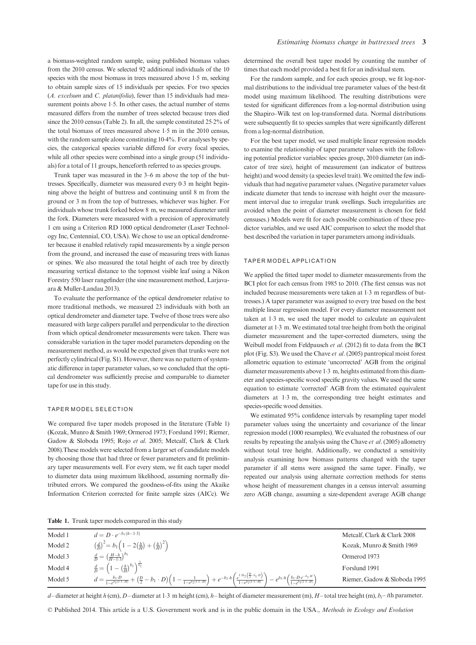a biomass-weighted random sample, using published biomass values from the 2010 census. We selected 92 additional individuals of the 10 species with the most biomass in trees measured above 1.5 m, seeking to obtain sample sizes of 15 individuals per species. For two species (A. excelsum and C. platanifolia), fewer than 15 individuals had measurement points above 1.5. In other cases, the actual number of stems measured differs from the number of trees selected because trees died since the 2010 census (Table 2). In all, the sample constituted 252% of the total biomass of trees measured above 1.5 m in the 2010 census, with the random sample alone constituting 104%. For analyses by species, the categorical species variable differed for every focal species, while all other species were combined into a single group (51 individuals) for a total of 11 groups, henceforth referred to as species groups.

Trunk taper was measured in the 3–6 m above the top of the buttresses. Specifically, diameter was measured every 03 m height beginning above the height of buttress and continuing until 8 m from the ground or 3 m from the top of buttresses, whichever was higher. For individuals whose trunk forked below 8 m, we measured diameter until the fork. Diameters were measured with a precision of approximately 1 cm using a Criterion RD 1000 optical dendrometer (Laser Technology Inc, Centennial, CO, USA). We chose to use an optical dendrometer because it enabled relatively rapid measurements by a single person from the ground, and increased the ease of measuring trees with lianas or spines. We also measured the total height of each tree by directly measuring vertical distance to the topmost visible leaf using a Nikon Forestry 550 laser rangefinder (the sine measurement method, Larjavaara & Muller-Landau 2013).

To evaluate the performance of the optical dendrometer relative to more traditional methods, we measured 23 individuals with both an optical dendrometer and diameter tape. Twelve of those trees were also measured with large calipers parallel and perpendicular to the direction from which optical dendrometer measurements were taken. There was considerable variation in the taper model parameters depending on the measurement method, as would be expected given that trunks were not perfectly cylindrical (Fig. S1). However, there was no pattern of systematic difference in taper parameter values, so we concluded that the optical dendrometer was sufficiently precise and comparable to diameter tape for use in this study.

#### TAPER MODEL SELECTION

We compared five taper models proposed in the literature (Table 1) (Kozak, Munro & Smith 1969; Ormerod 1973; Forslund 1991; Riemer, Gadow & Sloboda 1995; Rojo et al. 2005; Metcalf, Clark & Clark 2008).These models were selected from a larger set of candidate models by choosing those that had three or fewer parameters and fit preliminary taper measurements well. For every stem, we fit each taper model to diameter data using maximum likelihood, assuming normally distributed errors. We compared the goodness-of-fits using the Akaike Information Criterion corrected for finite sample sizes (AICc). We determined the overall best taper model by counting the number of times that each model provided a best fit for an individual stem.

For the random sample, and for each species group, we fit log-normal distributions to the individual tree parameter values of the best-fit model using maximum likelihood. The resulting distributions were tested for significant differences from a log-normal distribution using the Shapiro–Wilk test on log-transformed data. Normal distributions were subsequently fit to species samples that were significantly different from a log-normal distribution.

For the best taper model, we used multiple linear regression models to examine the relationship of taper parameter values with the following potential predictor variables: species group, 2010 diameter (an indicator of tree size), height of measurement (an indicator of buttress height) and wood density (a species level trait). We omitted the few individuals that had negative parameter values. (Negative parameter values indicate diameter that tends to increase with height over the measurement interval due to irregular trunk swellings. Such irregularities are avoided when the point of diameter measurement is chosen for field censuses.) Models were fit for each possible combination of these predictor variables, and we used AIC comparison to select the model that best described the variation in taper parameters among individuals.

#### TAPER MODEL APPLICATION

We applied the fitted taper model to diameter measurements from the BCI plot for each census from 1985 to 2010. (The first census was not included because measurements were taken at 13 m regardless of buttresses.) A taper parameter was assigned to every tree based on the best multiple linear regression model. For every diameter measurement not taken at 13 m, we used the taper model to calculate an equivalent diameter at 13 m. We estimated total tree height from both the original diameter measurement and the taper-corrected diameters, using the Weibull model from Feldpausch et al. (2012) fit to data from the BCI plot (Fig. S3). We used the Chave et al. (2005) pantropical moist forest allometric equation to estimate 'uncorrected' AGB from the original diameter measurements above 13 m, heights estimated from this diameter and species-specific wood specific gravity values. We used the same equation to estimate 'corrected' AGB from the estimated equivalent diameters at 13 m, the corresponding tree height estimates and species-specific wood densities.

We estimated 95% confidence intervals by resampling taper model parameter values using the uncertainty and covariance of the linear regression model (1000 resamples). We evaluated the robustness of our results by repeating the analysis using the Chave et al. (2005) allometry without total tree height. Additionally, we conducted a sensitivity analysis examining how biomass patterns changed with the taper parameter if all stems were assigned the same taper. Finally, we repeated our analysis using alternate correction methods for stems whose height of measurement changes in a census interval: assuming zero AGB change, assuming a size-dependent average AGB change

Table 1. Trunk taper models compared in this study

| Model 1 | $d = D \cdot e^{-b_1(h-1\cdot3)}$                                                                                                                                                                                                                                                                                                     | Metcalf, Clark & Clark 2008  |
|---------|---------------------------------------------------------------------------------------------------------------------------------------------------------------------------------------------------------------------------------------------------------------------------------------------------------------------------------------|------------------------------|
| Model 2 | $\left(\frac{d}{D}\right)^2 = b_1 \left(1 - 2\left(\frac{h}{H}\right) + \left(\frac{h}{H}\right)^2\right)$                                                                                                                                                                                                                            | Kozak, Munro & Smith 1969    |
| Model 3 | $\frac{d}{D} = \left(\frac{H-h}{H-1\cdot 3}\right)^{b_1}$                                                                                                                                                                                                                                                                             | Ormerod 1973                 |
| Model 4 | $\frac{d}{D} = \left(1 - \left(\frac{h}{H}\right)^{b_1}\right)^{\frac{1}{b_2}}$                                                                                                                                                                                                                                                       | Forslund 1991                |
| Model 5 | $d=\textstyle{\frac{b_1\cdot D}{1-e^{b_3(13-H)}}+\left(\frac{D}{2}-b_1\cdot D \right)\left(1-\textstyle{\frac{1}{1-e^{b_2(13-H)}}}\right)+e^{-b_2\cdot h}\left(\frac{e^{1\cdot 3b_2\left(\frac{D}{2}-b_1\cdot D\right)}}{1-e^{b_2(13-H)}}\right)-e^{b_3\cdot h}\left(\frac{b_1\cdot D\cdot e^{-b_3\cdot H}}{1-e^{b_3(13-H)}}\right)}$ | Riemer, Gadow & Sloboda 1995 |

d– diameter at height h (cm), D– diameter at 1.3 m height (cm), h– height of diameter measurement (m), H– total tree height (m),  $b_i$ – *i*th parameter.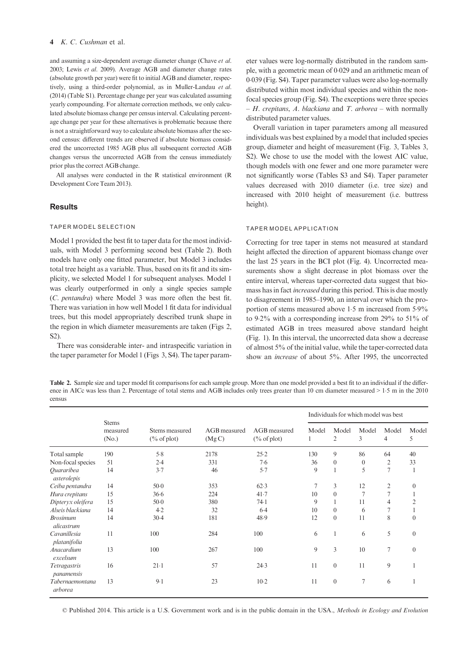## 4 K. C. Cushman et al.

and assuming a size-dependent average diameter change (Chave et al. 2003; Lewis et al. 2009). Average AGB and diameter change rates (absolute growth per year) were fit to initial AGB and diameter, respectively, using a third-order polynomial, as in Muller-Landau et al. (2014) (Table S1). Percentage change per year was calculated assuming yearly compounding. For alternate correction methods, we only calculated absolute biomass change per census interval. Calculating percentage change per year for these alternatives is problematic because there is not a straightforward way to calculate absolute biomass after the second census: different trends are observed if absolute biomass considered the uncorrected 1985 AGB plus all subsequent corrected AGB changes versus the uncorrected AGB from the census immediately prior plus the correct AGB change.

All analyses were conducted in the R statistical environment (R Development Core Team 2013).

## **Results**

#### TAPER MODEL SELECTION

Model 1 provided the best fit to taper data for the most individuals, with Model 3 performing second best (Table 2). Both models have only one fitted parameter, but Model 3 includes total tree height as a variable. Thus, based on its fit and its simplicity, we selected Model 1 for subsequent analyses. Model 1 was clearly outperformed in only a single species sample (C. pentandra) where Model 3 was more often the best fit. There was variation in how well Model 1 fit data for individual trees, but this model appropriately described trunk shape in the region in which diameter measurements are taken (Figs 2, S2).

There was considerable inter- and intraspecific variation in the taper parameter for Model 1 (Figs 3, S4). The taper parameter values were log-normally distributed in the random sample, with a geometric mean of 0029 and an arithmetic mean of 0039 (Fig. S4). Taper parameter values were also log-normally distributed within most individual species and within the nonfocal species group (Fig. S4). The exceptions were three species  $- H.$  crepitans, A. blackiana and T. arborea  $-$  with normally distributed parameter values.

Overall variation in taper parameters among all measured individuals was best explained by a model that included species group, diameter and height of measurement (Fig. 3, Tables 3, S2). We chose to use the model with the lowest AIC value, though models with one fewer and one more parameter were not significantly worse (Tables S3 and S4). Taper parameter values decreased with 2010 diameter (i.e. tree size) and increased with 2010 height of measurement (i.e. buttress height).

#### TAPER MODEL APPLICATION

Correcting for tree taper in stems not measured at standard height affected the direction of apparent biomass change over the last 25 years in the BCI plot (Fig. 4). Uncorrected measurements show a slight decrease in plot biomass over the entire interval, whereas taper-corrected data suggest that biomass has in fact increased during this period. This is due mostly to disagreement in 1985–1990, an interval over which the proportion of stems measured above 15 m increased from 59% to 92% with a corresponding increase from 29% to 51% of estimated AGB in trees measured above standard height (Fig. 1). In this interval, the uncorrected data show a decrease of almost 5% of the initial value, while the taper-corrected data show an increase of about 5%. After 1995, the uncorrected

Table 2. Sample size and taper model fit comparisons for each sample group. More than one model provided a best fit to an individual if the difference in AICc was less than 2. Percentage of total stems and AGB includes only trees greater than 10 cm diameter measured > 15 m in the 2010 census

|                                         | <b>Stems</b><br>measured<br>(No.) | Stems measured<br>$\frac{0}{6}$ of plot) | AGB measured<br>(MgC) | AGB measured<br>$\frac{0}{6}$ of plot) | Individuals for which model was best |                         |                |                         |                |
|-----------------------------------------|-----------------------------------|------------------------------------------|-----------------------|----------------------------------------|--------------------------------------|-------------------------|----------------|-------------------------|----------------|
|                                         |                                   |                                          |                       |                                        | Model<br>1                           | Model<br>$\overline{2}$ | Model<br>3     | Model<br>$\overline{4}$ | Model<br>5     |
| Total sample                            | 190                               | 5.8                                      | 2178                  | 25.2                                   | 130                                  | 9                       | 86             | 64                      | 40             |
| Non-focal species                       | 51                                | 2.4                                      | 331                   | 7.6                                    | 36                                   | $\mathbf{0}$            | $\overline{0}$ | 2                       | 33             |
| <i><b>Ouararibea</b></i><br>asterolepis | 14                                | 3.7                                      | 46                    | 5.7                                    | 9                                    | $\mathbf{1}$            | 5              | $\overline{7}$          |                |
| Ceiba pentandra                         | 14                                | $50-0$                                   | 353                   | 62.3                                   | 7                                    | 3                       | 12             | 2                       | $\mathbf{0}$   |
| Hura crepitans                          | 15                                | 36.6                                     | 224                   | 41.7                                   | 10                                   | $\overline{0}$          | $\overline{7}$ | 7                       |                |
| Dipteryx oleifera                       | 15                                | $50-0$                                   | 380                   | 74.1                                   | 9                                    | 1                       | 11             | 4                       | $\overline{2}$ |
| Alseis blackiana                        | 14                                | 4.2                                      | 32                    | $6-4$                                  | 10                                   | $\boldsymbol{0}$        | 6              | 7                       |                |
| <b>Brosimum</b><br>alicastrum           | 14                                | 30.4                                     | 181                   | 48.9                                   | 12                                   | $\overline{0}$          | 11             | 8                       | $\theta$       |
| Cavanillesia<br>platanifolia            | 11                                | 100                                      | 284                   | 100                                    | 6                                    |                         | 6              | 5                       | $\theta$       |
| Anacardium<br>excelsum                  | 13                                | 100                                      | 267                   | 100                                    | 9                                    | 3                       | 10             | 7                       | $\theta$       |
| Tetragastris<br>panamensis              | 16                                | $21-1$                                   | 57                    | 24.3                                   | 11                                   | $\overline{0}$          | 11             | 9                       |                |
| Tabernaemontana<br>arborea              | 13                                | 9.1                                      | 23                    | $10-2$                                 | 11                                   | $\boldsymbol{0}$        | 7              | 6                       |                |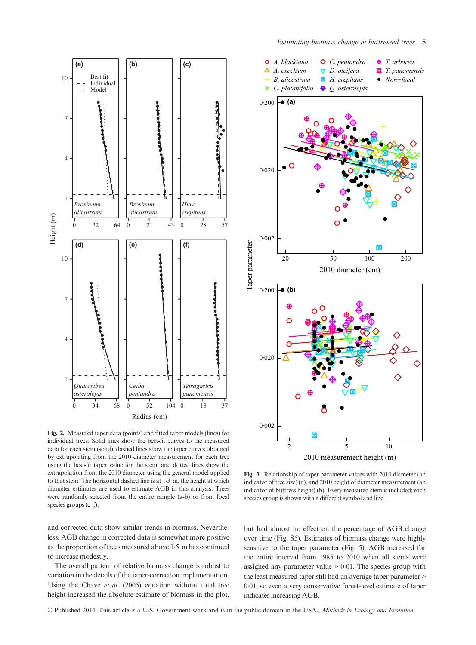

Fig. 2. Measured taper data (points) and fitted taper models (lines) for individual trees. Solid lines show the best-fit curves to the measured data for each stem (solid), dashed lines show the taper curves obtained by extrapolating from the 2010 diameter measurement for each tree using the best-fit taper value for the stem, and dotted lines show the extrapolation from the 2010 diameter using the general model applied to that stem. The horizontal dashed line is at  $1.3 \text{ m}$ , the height at which diameter estimates are used to estimate AGB in this analysis. Trees were randomly selected from the entire sample (a-b) or from focal species groups (c–f).

and corrected data show similar trends in biomass. Nevertheless, AGB change in corrected data is somewhat more positive as the proportion of trees measured above 1.5 m has continued to increase modestly.

The overall pattern of relative biomass change is robust to variation in the details of the taper-correction implementation. Using the Chave et al. (2005) equation without total tree height increased the absolute estimate of biomass in the plot,



Fig. 3. Relationship of taper parameter values with 2010 diameter (an indicator of tree size) (a), and 2010 height of diameter measurement (an indicator of buttress height) (b). Every measured stem is included; each species group is shown with a different symbol and line.

but had almost no effect on the percentage of AGB change over time (Fig. S5). Estimates of biomass change were highly sensitive to the taper parameter (Fig. 5). AGB increased for the entire interval from 1985 to 2010 when all stems were assigned any parameter value  $> 0.01$ . The species group with the least measured taper still had an average taper parameter > 001, so even a very conservative forest-level estimate of taper indicates increasing AGB.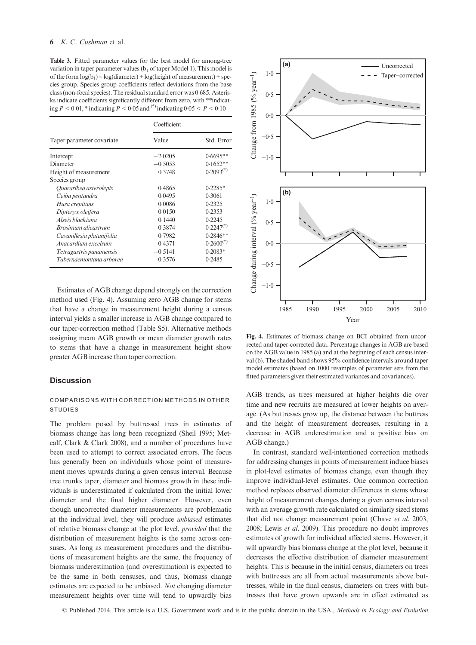Table 3. Fitted parameter values for the best model for among-tree variation in taper parameter values ( $b_1$  of taper Model 1). This model is of the form  $log(b_1) \sim log(diameter) + log(height of measurement) + spe$ cies group. Species group coefficients reflect deviations from the base class (non-focal species). The residual standard error was  $0.685$ . Asterisks indicate coefficients significantly different from zero, with \*\*indicating  $P < 0.01$ , \* indicating  $P < 0.05$  and <sup>(\*)</sup> indicating  $0.05 < P < 0.10$ 

|                           | Coefficient |                |  |  |
|---------------------------|-------------|----------------|--|--|
| Taper parameter covariate | Value       | Std. Error     |  |  |
| Intercept                 | $-2.0205$   | $0.6695**$     |  |  |
| Diameter                  | $-0.5053$   | $0.1652**$     |  |  |
| Height of measurement     | 0.3748      | $0.2093^{(*)}$ |  |  |
| Species group             |             |                |  |  |
| Quararibea asterolepis    | 0.4865      | $0.2285*$      |  |  |
| Ceiba pentandra           | 0.0495      | 0.3061         |  |  |
| Hura crepitans            | 0.0086      | 0.2325         |  |  |
| Dipteryx oleifera         | 0.0150      | 0.2353         |  |  |
| Alseis blackiana          | 0.1440      | 0.2245         |  |  |
| Brosimum alicastrum       | 0.3874      | $0.2247^{(*)}$ |  |  |
| Cavanillesia platanifolia | 0.7982      | $0.2846**$     |  |  |
| Anacardium excelsum       | 0.4371      | $0.2600^{(*)}$ |  |  |
| Tetragastris panamensis   | $-0.5141$   | $0.2083*$      |  |  |
| Tabernaemontana arborea   | 0.3576      | 0.2485         |  |  |

Estimates of AGB change depend strongly on the correction method used (Fig. 4). Assuming zero AGB change for stems that have a change in measurement height during a census interval yields a smaller increase in AGB change compared to our taper-correction method (Table S5). Alternative methods assigning mean AGB growth or mean diameter growth rates to stems that have a change in measurement height show greater AGB increase than taper correction.

#### **Discussion**

## COMPARISONS WITH CORRECTION METHODS IN OTHER STUDIES

The problem posed by buttressed trees in estimates of biomass change has long been recognized (Sheil 1995; Metcalf, Clark & Clark 2008), and a number of procedures have been used to attempt to correct associated errors. The focus has generally been on individuals whose point of measurement moves upwards during a given census interval. Because tree trunks taper, diameter and biomass growth in these individuals is underestimated if calculated from the initial lower diameter and the final higher diameter. However, even though uncorrected diameter measurements are problematic at the individual level, they will produce unbiased estimates of relative biomass change at the plot level, provided that the distribution of measurement heights is the same across censuses. As long as measurement procedures and the distributions of measurement heights are the same, the frequency of biomass underestimation (and overestimation) is expected to be the same in both censuses, and thus, biomass change estimates are expected to be unbiased. Not changing diameter measurement heights over time will tend to upwardly bias



Fig. 4. Estimates of biomass change on BCI obtained from uncorrected and taper-corrected data. Percentage changes in AGB are based on the AGB value in 1985 (a) and at the beginning of each census interval (b). The shaded band shows 95% confidence intervals around taper model estimates (based on 1000 resamples of parameter sets from the fitted parameters given their estimated variances and covariances).

AGB trends, as trees measured at higher heights die over time and new recruits are measured at lower heights on average. (As buttresses grow up, the distance between the buttress and the height of measurement decreases, resulting in a decrease in AGB underestimation and a positive bias on AGB change.)

In contrast, standard well-intentioned correction methods for addressing changes in points of measurement induce biases in plot-level estimates of biomass change, even though they improve individual-level estimates. One common correction method replaces observed diameter differences in stems whose height of measurement changes during a given census interval with an average growth rate calculated on similarly sized stems that did not change measurement point (Chave et al. 2003, 2008; Lewis et al. 2009). This procedure no doubt improves estimates of growth for individual affected stems. However, it will upwardly bias biomass change at the plot level, because it decreases the effective distribution of diameter measurement heights. This is because in the initial census, diameters on trees with buttresses are all from actual measurements above buttresses, while in the final census, diameters on trees with buttresses that have grown upwards are in effect estimated as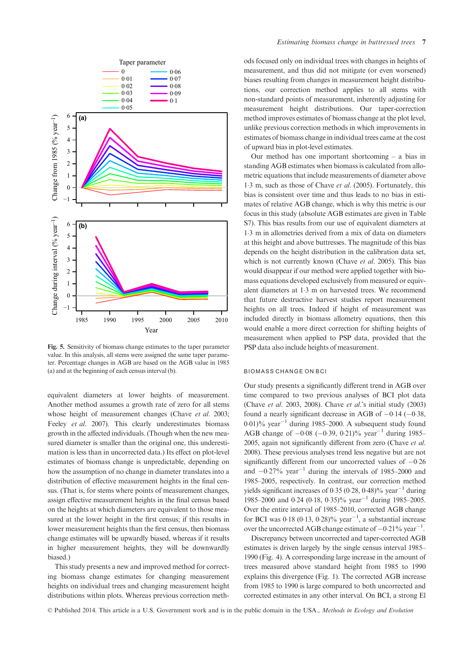

Fig. 5. Sensitivity of biomass change estimates to the taper parameter value. In this analysis, all stems were assigned the same taper parameter. Percentage changes in AGB are based on the AGB value in 1985 (a) and at the beginning of each census interval (b).

equivalent diameters at lower heights of measurement. Another method assumes a growth rate of zero for all stems whose height of measurement changes (Chave et al. 2003; Feeley et al. 2007). This clearly underestimates biomass growth in the affected individuals. (Though when the new measured diameter is smaller than the original one, this underestimation is less than in uncorrected data.) Its effect on plot-level estimates of biomass change is unpredictable, depending on how the assumption of no change in diameter translates into a distribution of effective measurement heights in the final census. (That is, for stems where points of measurement changes, assign effective measurement heights in the final census based on the heights at which diameters are equivalent to those measured at the lower height in the first census; if this results in lower measurement heights than the first census, then biomass change estimates will be upwardly biased, whereas if it results in higher measurement heights, they will be downwardly biased.)

This study presents a new and improved method for correcting biomass change estimates for changing measurement heights on individual trees and changing measurement height distributions within plots. Whereas previous correction methods focused only on individual trees with changes in heights of measurement, and thus did not mitigate (or even worsened) biases resulting from changes in measurement height distributions, our correction method applies to all stems with non-standard points of measurement, inherently adjusting for measurement height distributions. Our taper-correction method improves estimates of biomass change at the plot level, unlike previous correction methods in which improvements in estimates of biomass change in individual trees came at the cost of upward bias in plot-level estimates.

Our method has one important shortcoming – a bias in standing AGB estimates when biomass is calculated from allometric equations that include measurements of diameter above 13 m, such as those of Chave et al. (2005). Fortunately, this bias is consistent over time and thus leads to no bias in estimates of relative AGB change, which is why this metric is our focus in this study (absolute AGB estimates are given in Table S7). This bias results from our use of equivalent diameters at 13 m in allometries derived from a mix of data on diameters at this height and above buttresses. The magnitude of this bias depends on the height distribution in the calibration data set, which is not currently known (Chave et al. 2005). This bias would disappear if our method were applied together with biomass equations developed exclusively from measured or equivalent diameters at 13 m on harvested trees. We recommend that future destructive harvest studies report measurement heights on all trees. Indeed if height of measurement was included directly in biomass allometry equations, then this would enable a more direct correction for shifting heights of measurement when applied to PSP data, provided that the PSP data also include heights of measurement.

#### BIOMASS CHANGE ON BCI

Our study presents a significantly different trend in AGB over time compared to two previous analyses of BCI plot data (Chave et al. 2003, 2008). Chave et al.'s initial study (2003) found a nearly significant decrease in AGB of  $-0.14$  ( $-0.38$ ,  $(0.01)\%$  year<sup>-1</sup> during 1985–2000. A subsequent study found AGB change of  $-0.08$  ( $-0.39$ ,  $0.21$ )% year<sup>-1</sup> during 1985– 2005, again not significantly different from zero (Chave et al. 2008). These previous analyses trend less negative but are not significantly different from our uncorrected values of  $-0.26$ and  $-0.27\%$  year<sup>-1</sup> during the intervals of 1985–2000 and 1985–2005, respectively. In contrast, our correction method yields significant increases of  $0.35 (0.28, 0.48)\%$  year<sup>-1</sup> during 1985–2000 and 0.24 (0.18, 0.35)% year<sup>-1</sup> during 1985–2005. Over the entire interval of 1985–2010, corrected AGB change for BCI was  $0.18$  (0.13, 0.28)% year<sup>-1</sup>, a substantial increase over the uncorrected AGB change estimate of  $-0.21\%$  year<sup>-1</sup>.

Discrepancy between uncorrected and taper-corrected AGB estimates is driven largely by the single census interval 1985– 1990 (Fig. 4). A corresponding large increase in the amount of trees measured above standard height from 1985 to 1990 explains this divergence (Fig. 1). The corrected AGB increase from 1985 to 1990 is large compared to both uncorrected and corrected estimates in any other interval. On BCI, a strong El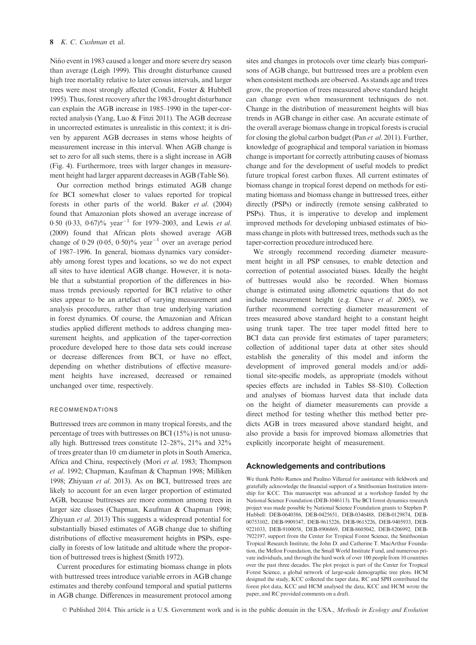Nino event in 1983 caused a longer and more severe dry season ~ than average (Leigh 1999). This drought disturbance caused high tree mortality relative to later census intervals, and larger trees were most strongly affected (Condit, Foster & Hubbell 1995). Thus, forest recovery after the 1983 drought disturbance can explain the AGB increase in 1985–1990 in the taper-corrected analysis (Yang, Luo & Finzi 2011). The AGB decrease in uncorrected estimates is unrealistic in this context; it is driven by apparent AGB decreases in stems whose heights of measurement increase in this interval. When AGB change is set to zero for all such stems, there is a slight increase in AGB (Fig. 4). Furthermore, trees with larger changes in measurement height had larger apparent decreases in AGB (Table S6).

Our correction method brings estimated AGB change for BCI somewhat closer to values reported for tropical forests in other parts of the world. Baker et al. (2004) found that Amazonian plots showed an average increase of 0.50 (0.33, 0.67)% year<sup>-1</sup> for 1979–2003, and Lewis et al. (2009) found that African plots showed average AGB change of 0.29 (0.05, 0.50)% year<sup>-1</sup> over an average period of 1987–1996. In general, biomass dynamics vary considerably among forest types and locations, so we do not expect all sites to have identical AGB change. However, it is notable that a substantial proportion of the differences in biomass trends previously reported for BCI relative to other sites appear to be an artefact of varying measurement and analysis procedures, rather than true underlying variation in forest dynamics. Of course, the Amazonian and African studies applied different methods to address changing measurement heights, and application of the taper-correction procedure developed here to those data sets could increase or decrease differences from BCI, or have no effect, depending on whether distributions of effective measurement heights have increased, decreased or remained unchanged over time, respectively.

#### RECOMMENDATIONS

Buttressed trees are common in many tropical forests, and the percentage of trees with buttresses on BCI (15%) is not unusually high. Buttressed trees constitute 12–28%, 21% and 32% of trees greater than 10 cm diameter in plots in South America, Africa and China, respectively (Mori et al. 1983; Thompson et al. 1992; Chapman, Kaufman & Chapman 1998; Milliken 1998; Zhiyuan et al. 2013). As on BCI, buttressed trees are likely to account for an even larger proportion of estimated AGB, because buttresses are more common among trees in larger size classes (Chapman, Kaufman & Chapman 1998; Zhiyuan et al. 2013) This suggests a widespread potential for substantially biased estimates of AGB change due to shifting distributions of effective measurement heights in PSPs, especially in forests of low latitude and altitude where the proportion of buttressed trees is highest (Smith 1972).

Current procedures for estimating biomass change in plots with buttressed trees introduce variable errors in AGB change estimates and thereby confound temporal and spatial patterns in AGB change. Differences in measurement protocol among sites and changes in protocols over time clearly bias comparisons of AGB change, but buttressed trees are a problem even when consistent methods are observed. As stands age and trees grow, the proportion of trees measured above standard height can change even when measurement techniques do not. Change in the distribution of measurement heights will bias trends in AGB change in either case. An accurate estimate of the overall average biomass change in tropical forests is crucial for closing the global carbon budget (Pan et al. 2011). Further, knowledge of geographical and temporal variation in biomass change is important for correctly attributing causes of biomass change and for the development of useful models to predict future tropical forest carbon fluxes. All current estimates of biomass change in tropical forest depend on methods for estimating biomass and biomass change in buttressed trees, either directly (PSPs) or indirectly (remote sensing calibrated to PSPs). Thus, it is imperative to develop and implement improved methods for developing unbiased estimates of biomass change in plots with buttressed trees, methods such as the taper-correction procedure introduced here.

We strongly recommend recording diameter measurement height in all PSP censuses, to enable detection and correction of potential associated biases. Ideally the height of buttresses would also be recorded. When biomass change is estimated using allometric equations that do not include measurement height (e.g. Chave et al. 2005), we further recommend correcting diameter measurement of trees measured above standard height to a constant height using trunk taper. The tree taper model fitted here to BCI data can provide first estimates of taper parameters; collection of additional taper data at other sites should establish the generality of this model and inform the development of improved general models and/or additional site-specific models, as appropriate (models without species effects are included in Tables S8–S10). Collection and analyses of biomass harvest data that include data on the height of diameter measurements can provide a direct method for testing whether this method better predicts AGB in trees measured above standard height, and also provide a basis for improved biomass allometries that explicitly incorporate height of measurement.

#### Acknowledgements and contributions

We thank Pablo Ramos and Paulino Villareal for assistance with fieldwork and gratefully acknowledge the financial support of a Smithsonian Institution internship for KCC. This manuscript was advanced at a workshop funded by the National Science Foundation (DEB-1046113). The BCI forest dynamics research project was made possible by National Science Foundation grants to Stephen P. Hubbell: DEB-0640386, DEB-0425651, DEB-0346488, DEB-0129874, DEB-00753102, DEB-9909347, DEB-9615226, DEB-9615226, DEB-9405933, DEB-9221033, DEB-9100058, DEB-8906869, DEB-8605042, DEB-8206992, DEB-7922197, support from the Center for Tropical Forest Science, the Smithsonian Tropical Research Institute, the John D. and Catherine T. MacArthur Foundation, the Mellon Foundation, the Small World Institute Fund, and numerous private individuals, and through the hard work of over 100 people from 10 countries over the past three decades. The plot project is part of the Center for Tropical Forest Science, a global network of large-scale demographic tree plots. HCM designed the study, KCC collected the taper data, RC and SPH contributed the forest plot data, KCC and HCM analysed the data, KCC and HCM wrote the paper, and RC provided comments on a draft.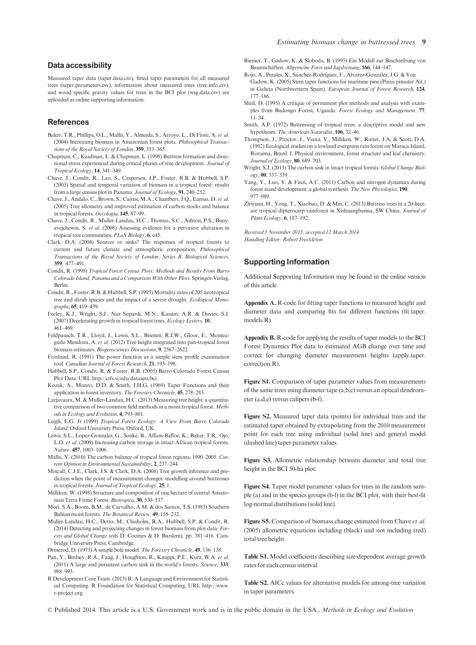#### Data accessibility

Measured taper data (taper.data.csv), fitted taper parameters for all measured trees (taper.parameters.csv), information about measured trees (tree.info.csv), and wood specific gravity values for trees in the BCI plot (wsg.data.csv) are uploaded as online supporting information.

#### **References**

- Baker, T.R., Phillips, O.L., Malhi, Y., Almeida, S., Arroyo, L., Di Fiore, A. et al. (2004) Increasing biomass in Amazonian forest plots. Philosophical Transactions of the Royal Society of London, 359, 353–365.
- Chapman, C., Kaufman, L. & Chapman, L. (1998) Buttress formation and directional stress experienced during critical phases of tree development. Journal of Tropical Ecology, 14, 341–349.
- Chave, J., Condit, R., Lao, S., Caspersen, J.P., Foster, R.B. & Hubbell, S.P. (2003) Spatial and temporal variation of biomass in a tropical forest: results from a large census plot in Panama. Journal of Ecology, 91, 240–252.
- Chave, J., Andalo, C., Brown, S., Cairns, M.A., Chambers, J.Q., Eamus, D. et al. (2005) Tree allometry and improved estimation of carbon stocks and balance in tropical forests. Oecologia, 145, 87–99.
- Chave, J., Condit, R., Muller-Landau, H.C., Thomas, S.C., Ashton, P.S., Bunyavejchewin, S. et al. (2008) Assessing evidence for a pervasive alteration in tropical tree communities. PLoS Biology, 6, e45.
- Clark, D.A. (2004) Sources or sinks? The responses of tropical forests to current and future climate and atmospheric composition. Philosophical Transactions of the Royal Society of London. Series B, Biological Sciences, 359, 477–491.
- Condit, R. (1998) Tropical Forest Census Plots: Methods and Results From Barro Colorado Island, Panama and a Comparison With Other Plots. Springer-Verlag, Berlin.
- Condit, R., Foster, R.B. & Hubbell, S.P. (1995) Mortality rates of 205 neotropical tree and shrub species and the impact of a severe drought. Ecological Monographs, 65, 419–439.
- Feeley, K.J., Wright, S.J., Nur Supardi, M.N., Kassim, A.R. & Davies, S.J. (2007) Decelerating growth in tropical forest trees. Ecology Letters, 10, 461–469.
- Feldpausch, T.R., Lloyd, J., Lewis, S.L., Brienen, R.J.W., Gloor, E., Monteagudo Mendoza, A. et al. (2012) Tree height integrated into pan-tropical forest biomass estimates. Biogeosciences Discussions, 9, 2567–2622.
- Forslund, R. (1991) The power function as a simple stem profile examination tool. Canadian Journal of Forest Research, 21, 193–198.
- Hubbell, S.P., Condit, R. & Foster, R.B. (2005) Barro Colorado Forest Census Plot Data. URL http://ctfs.si/edu/datasets/bci
- Kozak, A., Munro, D.D. & Smith, J.H.G. (1969) Taper Functions and their application in forest inventory. The Forestry Chronicle, 45, 278–283.
- Larjavaara, M. & Muller-Landau, H.C. (2013) Measuring tree height: a quantitative comparison of two common field methods in a moist tropical forest. Methods in Ecology and Evolution, 4, 793–801.
- Leigh, E.G. Jr (1999) Tropical Forest Ecology: A View From Barro Colorado Island. Oxford University Press, Oxford, UK.
- Lewis, S.L., Lopez-Gonzalez, G., Sonké, B., Affum-Baffoe, K., Baker, T.R., Ojo, L.O. et al. (2009) Increasing carbon storage in intact African tropical forests. Nature, 457, 1003–1006.
- Malhi, Y. (2010) The carbon balance of tropical forest regions, 1990–2005. Current Opinion in Environmental Sustainability, 2, 237–244.
- Metcalf, C.J.E., Clark, J.S. & Clark, D.A. (2008) Tree growth inference and prediction when the point of measurement changes: modelling around buttresses in tropical forests. Journal of Tropical Ecology, 25, 1.
- Milliken, W. (1998) Structure and composition of one hectare of central Amazonian Terra Firme Forest. Biotropica, 30, 530–537.
- Mori, S.A., Boom, B.M., de Carvalho, A.M. & dos Santos, T.S. (1983) Southern Bahian moist forests. The Botanical Review, 49, 155–232.
- Muller-Landau, H.C., Detto, M., Chisholm, R.A., Hubbell, S.P. & Condit, R. (2014) Detecting and projecting changes in forest biomass from plot data. Forests and Global Change (eds D. Coomes & D. Burslem), pp. 381–416. Cambridge University Press, Cambridge.

Ormerod, D. (1973) A simple bole model. The Forestry Chronicle, 49, 136-138.

- Pan, Y., Birdsey, R.A., Fang, J., Houghton, R., Kauppi, P.E., Kurz, W.A. et al. (2011) A large and persistent carbon sink in the world's forests. Science, 333, 988–993.
- R Development Core Team. (2013) R: A Language and Environment for Statistical Computing. R Foundation for Statistical Computing, URL http://www. r-project.org.
- Riemer, T., Gadow, K. & Sloboda, B. (1995) Ein Modell zur Beschreibung von Baumschäften. Allgemeine Forst und Jagdzeitung, 166, 144-147.
- Rojo, A., Perales, X., Sánchez-Rodríguez, F., Álvarez-González, J.G. & Von Gadow, K. (2005) Stem taper functions for maritime pine (Pinus pinaster Ait.) in Galicia (Northwestern Spain). European Journal of Forest Research, 124, 177–186.
- Sheil, D. (1995) A critique of permanent plot methods and analysis with examples from Budongo Forest, Uganda. Forest Ecology and Management, 77, 11–34.
- Smith, A.P. (1972) Buttressing of tropical trees: a descriptive model and new hypotheses. The American Naturalist, 106, 32–46.
- Thompson, J., Proctor, J., Viana, V., Milliken, W., Ratter, J.A. & Scott, D.A. (1992) Ecological studies on a lowland evergreen rain forest on Maraca Island, Roraima, Brazil. I. Physical environment, forest structure and leaf chemistry. Journal of Ecology, 80, 689-703.
- Wright, S.J. (2013) The carbon sink in intact tropical forests. Global Change Biology, 00, 337–339.
- Yang, Y., Luo, Y. & Finzi, A.C. (2011) Carbon and nitrogen dynamics during forest stand development: a global synthesis. The New Phytologist, 190, 977–989.
- Zhiyuan, H., Yong, T., Xiaobao, D. & Min, C. (2013) Buttress trees in a 20-hectare tropical dipterocarp rainforest in Xishuangbanna, SW China. Journal of Plant Ecology, 6, 187–192.

Received 5 November 2013; accepted 12 March 2014 Handling Editor: Robert Freckleton

#### Supporting Information

Additional Supporting Information may be found in the online version of this article.

Appendix A. R-code for fitting taper functions to measured height and diameter data and comparing fits for different functions (fit.taper. models.R).

Appendix B. R-code for applying the results of taper models to the BCI Forest Dynamics Plot data to estimated AGB change over time and correct for changing diameter measurement heights (apply.taper. correction.R).

Figure S1. Comparison of taper parameter values from measurements of the same trees using diameter tape (a,b,c) versus an optical dendrometer (a,d,e) versus calipers (b-f).

Figure S2. Measured taper data (points) for individual trees and the estimated taper obtained by extrapolating from the 2010 measurement point for each tree using individual (solid line) and general model (dashed line) taper parameter values.

Figure S3. Allometric relationship between diameter and total tree height in the BCI 50-ha plot.

Figure S4. Taper model parameter values for trees in the random sample (a) and in the species groups (b-l) in the BCI plot, with their best-fit log-normal distributions (solid line).

Figure S5. Comparison of biomass change estimated from Chave et al. (2005) allometric equations including (black) and not including (red) total tree height.

Table S1. Model coefficients describing size-dependent average growth rates for each census interval.

Table S2. AICc values for alternative models for among-tree variation in taper parameters.